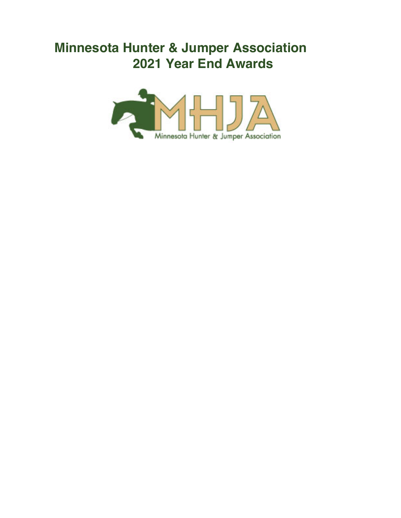# **Minnesota Hunter & Jumper Association 2021 Year End Awards**

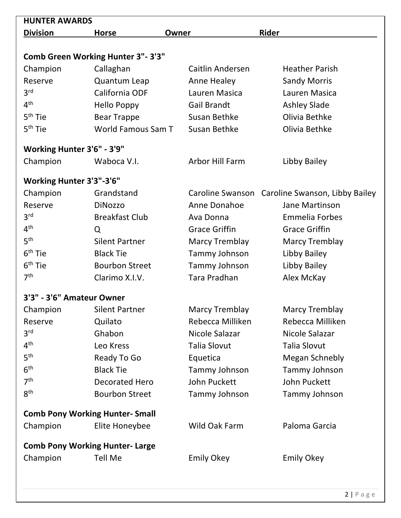| <b>HUNTER AWARDS</b>            |                                          |                         |                                |
|---------------------------------|------------------------------------------|-------------------------|--------------------------------|
| <b>Division</b>                 | <b>Horse</b>                             | Owner                   | <b>Rider</b>                   |
|                                 |                                          |                         |                                |
|                                 | <b>Comb Green Working Hunter 3"-3'3"</b> |                         |                                |
| Champion                        | Callaghan                                | <b>Caitlin Andersen</b> | <b>Heather Parish</b>          |
| Reserve                         | Quantum Leap                             | Anne Healey             | <b>Sandy Morris</b>            |
| 3 <sup>rd</sup>                 | California ODF                           | Lauren Masica           | Lauren Masica                  |
| 4 <sup>th</sup>                 | Hello Poppy                              | <b>Gail Brandt</b>      | <b>Ashley Slade</b>            |
| 5 <sup>th</sup> Tie             | <b>Bear Trappe</b>                       | Susan Bethke            | Olivia Bethke                  |
| 5 <sup>th</sup> Tie             | World Famous Sam T                       | Susan Bethke            | Olivia Bethke                  |
| Working Hunter 3'6" - 3'9"      |                                          |                         |                                |
| Champion                        | Waboca V.I.                              | <b>Arbor Hill Farm</b>  | Libby Bailey                   |
| <b>Working Hunter 3'3"-3'6"</b> |                                          |                         |                                |
| Champion                        | Grandstand                               | Caroline Swanson        | Caroline Swanson, Libby Bailey |
| Reserve                         | <b>DiNozzo</b>                           | Anne Donahoe            | Jane Martinson                 |
| 3 <sup>rd</sup>                 | <b>Breakfast Club</b>                    | Ava Donna               | <b>Emmelia Forbes</b>          |
| 4 <sup>th</sup>                 | Q                                        | <b>Grace Griffin</b>    | <b>Grace Griffin</b>           |
| 5 <sup>th</sup>                 | <b>Silent Partner</b>                    | <b>Marcy Tremblay</b>   | <b>Marcy Tremblay</b>          |
| $6th$ Tie                       | <b>Black Tie</b>                         | Tammy Johnson           | Libby Bailey                   |
| $6th$ Tie                       | <b>Bourbon Street</b>                    | Tammy Johnson           | Libby Bailey                   |
| 7 <sup>th</sup>                 | Clarimo X.I.V.                           | Tara Pradhan            | Alex McKay                     |
| 3'3" - 3'6" Amateur Owner       |                                          |                         |                                |
| Champion                        | <b>Silent Partner</b>                    | <b>Marcy Tremblay</b>   | <b>Marcy Tremblay</b>          |
| Reserve                         | Quilato                                  | Rebecca Milliken        | Rebecca Milliken               |
| 3 <sup>rd</sup>                 | Ghabon                                   | Nicole Salazar          | Nicole Salazar                 |
| 4 <sup>th</sup>                 | Leo Kress                                | <b>Talia Slovut</b>     | <b>Talia Slovut</b>            |
| 5 <sup>th</sup>                 | Ready To Go                              | Equetica                | <b>Megan Schnebly</b>          |
| 6 <sup>th</sup>                 | <b>Black Tie</b>                         | Tammy Johnson           | Tammy Johnson                  |
| 7 <sup>th</sup>                 | <b>Decorated Hero</b>                    | <b>John Puckett</b>     | <b>John Puckett</b>            |
| 8 <sup>th</sup>                 | <b>Bourbon Street</b>                    | Tammy Johnson           | Tammy Johnson                  |
|                                 | <b>Comb Pony Working Hunter- Small</b>   |                         |                                |
| Champion                        | Elite Honeybee                           | Wild Oak Farm           | Paloma Garcia                  |
|                                 | <b>Comb Pony Working Hunter- Large</b>   |                         |                                |
| Champion                        | <b>Tell Me</b>                           | <b>Emily Okey</b>       | <b>Emily Okey</b>              |
|                                 |                                          |                         |                                |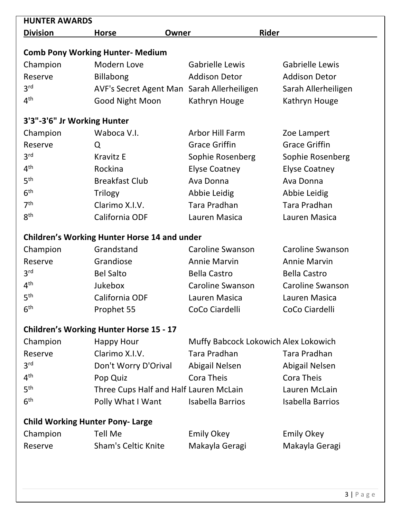| <b>HUNTER AWARDS</b>                    |                                                        |                                      |                         |
|-----------------------------------------|--------------------------------------------------------|--------------------------------------|-------------------------|
| <b>Division</b>                         | <b>Horse</b><br>Owner                                  | Rider                                |                         |
|                                         |                                                        |                                      |                         |
| Champion                                | <b>Comb Pony Working Hunter- Medium</b><br>Modern Love | Gabrielle Lewis                      | <b>Gabrielle Lewis</b>  |
| Reserve                                 | <b>Billabong</b>                                       | <b>Addison Detor</b>                 | <b>Addison Detor</b>    |
| 3 <sup>rd</sup>                         | AVF's Secret Agent Man Sarah Allerheiligen             |                                      | Sarah Allerheiligen     |
| 4 <sup>th</sup>                         | Good Night Moon                                        | Kathryn Houge                        | Kathryn Houge           |
|                                         |                                                        |                                      |                         |
| 3'3"-3'6" Jr Working Hunter             |                                                        |                                      |                         |
| Champion                                | Waboca V.I.                                            | Arbor Hill Farm                      | Zoe Lampert             |
| Reserve                                 | Q                                                      | <b>Grace Griffin</b>                 | <b>Grace Griffin</b>    |
| 3 <sup>rd</sup>                         | <b>Kravitz E</b>                                       | Sophie Rosenberg                     | Sophie Rosenberg        |
| 4 <sup>th</sup>                         | Rockina                                                | <b>Elyse Coatney</b>                 | <b>Elyse Coatney</b>    |
| 5 <sup>th</sup>                         | <b>Breakfast Club</b>                                  | Ava Donna                            | Ava Donna               |
| 6 <sup>th</sup>                         | <b>Trilogy</b>                                         | Abbie Leidig                         | Abbie Leidig            |
| 7 <sup>th</sup>                         | Clarimo X.I.V.                                         | <b>Tara Pradhan</b>                  | <b>Tara Pradhan</b>     |
| 8 <sup>th</sup>                         | California ODF                                         | Lauren Masica                        | Lauren Masica           |
|                                         | <b>Children's Working Hunter Horse 14 and under</b>    |                                      |                         |
| Champion                                | Grandstand                                             | <b>Caroline Swanson</b>              | <b>Caroline Swanson</b> |
| Reserve                                 | Grandiose                                              | <b>Annie Marvin</b>                  | <b>Annie Marvin</b>     |
| 3 <sup>rd</sup>                         | <b>Bel Salto</b>                                       | <b>Bella Castro</b>                  | <b>Bella Castro</b>     |
| 4 <sup>th</sup>                         | <b>Jukebox</b>                                         | <b>Caroline Swanson</b>              | <b>Caroline Swanson</b> |
| 5 <sup>th</sup>                         | California ODF                                         | Lauren Masica                        | Lauren Masica           |
| $6^{\text{th}}$                         | Prophet 55                                             | CoCo Ciardelli                       | CoCo Ciardelli          |
|                                         | <b>Children's Working Hunter Horse 15 - 17</b>         |                                      |                         |
| Champion                                | <b>Happy Hour</b>                                      | Muffy Babcock Lokowich Alex Lokowich |                         |
| Reserve                                 | Clarimo X.I.V.                                         | Tara Pradhan                         | Tara Pradhan            |
| 3 <sup>rd</sup>                         | Don't Worry D'Orival                                   | Abigail Nelsen                       | Abigail Nelsen          |
| 4 <sup>th</sup>                         | Pop Quiz                                               | Cora Theis                           | Cora Theis              |
| 5 <sup>th</sup>                         | Three Cups Half and Half Lauren McLain                 |                                      | Lauren McLain           |
| 6 <sup>th</sup>                         | Polly What I Want                                      | Isabella Barrios                     | <b>Isabella Barrios</b> |
|                                         |                                                        |                                      |                         |
| <b>Child Working Hunter Pony- Large</b> |                                                        |                                      |                         |
| Champion                                | <b>Tell Me</b>                                         | <b>Emily Okey</b>                    | <b>Emily Okey</b>       |
| Reserve                                 | Sham's Celtic Knite                                    | Makayla Geragi                       | Makayla Geragi          |
|                                         |                                                        |                                      |                         |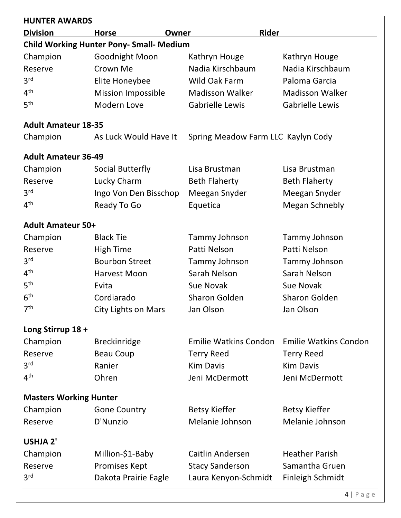| <b>HUNTER AWARDS</b>          |                                                 |                                    |                              |
|-------------------------------|-------------------------------------------------|------------------------------------|------------------------------|
| <b>Division</b>               | <b>Horse</b><br>Owner                           | <b>Rider</b>                       |                              |
|                               | <b>Child Working Hunter Pony- Small- Medium</b> |                                    |                              |
| Champion                      | Goodnight Moon                                  | Kathryn Houge                      | Kathryn Houge                |
| Reserve                       | Crown Me                                        | Nadia Kirschbaum                   | Nadia Kirschbaum             |
| 3 <sup>rd</sup>               | Elite Honeybee                                  | Wild Oak Farm                      | Paloma Garcia                |
| 4 <sup>th</sup>               | <b>Mission Impossible</b>                       | <b>Madisson Walker</b>             | <b>Madisson Walker</b>       |
| 5 <sup>th</sup>               | Modern Love                                     | <b>Gabrielle Lewis</b>             | <b>Gabrielle Lewis</b>       |
| <b>Adult Amateur 18-35</b>    |                                                 |                                    |                              |
| Champion                      | As Luck Would Have It                           | Spring Meadow Farm LLC Kaylyn Cody |                              |
| <b>Adult Amateur 36-49</b>    |                                                 |                                    |                              |
| Champion                      | Social Butterfly                                | Lisa Brustman                      | Lisa Brustman                |
| Reserve                       | Lucky Charm                                     | <b>Beth Flaherty</b>               | <b>Beth Flaherty</b>         |
| 3 <sup>rd</sup>               | Ingo Von Den Bisschop                           | Meegan Snyder                      | Meegan Snyder                |
| 4 <sup>th</sup>               | Ready To Go                                     | Equetica                           | <b>Megan Schnebly</b>        |
| <b>Adult Amateur 50+</b>      |                                                 |                                    |                              |
| Champion                      | <b>Black Tie</b>                                | Tammy Johnson                      | Tammy Johnson                |
| Reserve                       | <b>High Time</b>                                | Patti Nelson                       | Patti Nelson                 |
| 3 <sup>rd</sup>               | <b>Bourbon Street</b>                           | Tammy Johnson                      | Tammy Johnson                |
| 4 <sup>th</sup>               | Harvest Moon                                    | Sarah Nelson                       | Sarah Nelson                 |
| 5 <sup>th</sup>               | Evita                                           | Sue Novak                          | Sue Novak                    |
| 6 <sup>th</sup>               | Cordiarado                                      | <b>Sharon Golden</b>               | <b>Sharon Golden</b>         |
| 7 <sup>th</sup>               | <b>City Lights on Mars</b>                      | Jan Olson                          | Jan Olson                    |
| Long Stirrup 18 +             |                                                 |                                    |                              |
| Champion                      | <b>Breckinridge</b>                             | <b>Emilie Watkins Condon</b>       | <b>Emilie Watkins Condon</b> |
| Reserve                       | <b>Beau Coup</b>                                | <b>Terry Reed</b>                  | <b>Terry Reed</b>            |
| 3 <sup>rd</sup>               | Ranier                                          | <b>Kim Davis</b>                   | <b>Kim Davis</b>             |
| 4 <sup>th</sup>               | Ohren                                           | Jeni McDermott                     | Jeni McDermott               |
| <b>Masters Working Hunter</b> |                                                 |                                    |                              |
| Champion                      | <b>Gone Country</b>                             | <b>Betsy Kieffer</b>               | <b>Betsy Kieffer</b>         |
| Reserve                       | D'Nunzio                                        | Melanie Johnson                    | Melanie Johnson              |
| <b>USHJA 2'</b>               |                                                 |                                    |                              |
| Champion                      | Million-\$1-Baby                                | Caitlin Andersen                   | <b>Heather Parish</b>        |
| Reserve                       | <b>Promises Kept</b>                            | <b>Stacy Sanderson</b>             | Samantha Gruen               |
| 3 <sup>rd</sup>               | Dakota Prairie Eagle                            | Laura Kenyon-Schmidt               | <b>Finleigh Schmidt</b>      |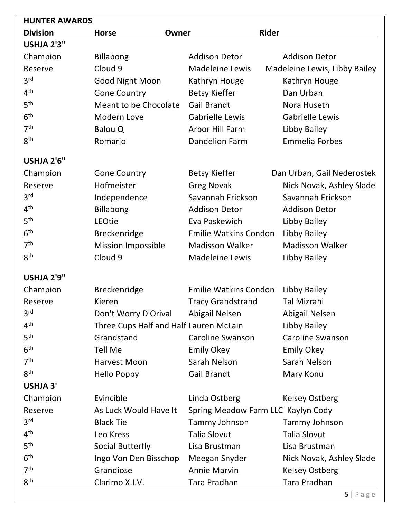| <b>HUNTER AWARDS</b> |                                        |                                    |                               |
|----------------------|----------------------------------------|------------------------------------|-------------------------------|
| <b>Division</b>      | <b>Horse</b><br>Owner                  | <b>Rider</b>                       |                               |
| USHJA 2'3"           |                                        |                                    |                               |
| Champion             | <b>Billabong</b>                       | <b>Addison Detor</b>               | <b>Addison Detor</b>          |
| Reserve              | Cloud 9                                | <b>Madeleine Lewis</b>             | Madeleine Lewis, Libby Bailey |
| 3 <sup>rd</sup>      | Good Night Moon                        | Kathryn Houge                      | Kathryn Houge                 |
| 4 <sup>th</sup>      | <b>Gone Country</b>                    | <b>Betsy Kieffer</b>               | Dan Urban                     |
| 5 <sup>th</sup>      | Meant to be Chocolate                  | <b>Gail Brandt</b>                 | Nora Huseth                   |
| 6 <sup>th</sup>      | Modern Love                            | <b>Gabrielle Lewis</b>             | <b>Gabrielle Lewis</b>        |
| 7 <sup>th</sup>      | Balou Q                                | Arbor Hill Farm                    | Libby Bailey                  |
| 8 <sup>th</sup>      | Romario                                | <b>Dandelion Farm</b>              | <b>Emmelia Forbes</b>         |
| <b>USHJA 2'6"</b>    |                                        |                                    |                               |
| Champion             | <b>Gone Country</b>                    | <b>Betsy Kieffer</b>               | Dan Urban, Gail Nederostek    |
| Reserve              | Hofmeister                             | <b>Greg Novak</b>                  | Nick Novak, Ashley Slade      |
| 3 <sup>rd</sup>      | Independence                           | Savannah Erickson                  | Savannah Erickson             |
| 4 <sup>th</sup>      | <b>Billabong</b>                       | <b>Addison Detor</b>               | <b>Addison Detor</b>          |
| 5 <sup>th</sup>      | LEOtie                                 | Eva Paskewich                      | Libby Bailey                  |
| 6 <sup>th</sup>      | Breckenridge                           | <b>Emilie Watkins Condon</b>       | Libby Bailey                  |
| 7 <sup>th</sup>      | <b>Mission Impossible</b>              | <b>Madisson Walker</b>             | <b>Madisson Walker</b>        |
| 8 <sup>th</sup>      | Cloud 9                                | <b>Madeleine Lewis</b>             | Libby Bailey                  |
| <b>USHJA 2'9"</b>    |                                        |                                    |                               |
| Champion             | <b>Breckenridge</b>                    | <b>Emilie Watkins Condon</b>       | Libby Bailey                  |
| Reserve              | Kieren                                 | <b>Tracy Grandstrand</b>           | <b>Tal Mizrahi</b>            |
| 3 <sup>rd</sup>      | Don't Worry D'Orival                   | Abigail Nelsen                     | Abigail Nelsen                |
| 4 <sup>th</sup>      | Three Cups Half and Half Lauren McLain |                                    | Libby Bailey                  |
| 5 <sup>th</sup>      | Grandstand                             | <b>Caroline Swanson</b>            | <b>Caroline Swanson</b>       |
| 6 <sup>th</sup>      | <b>Tell Me</b>                         | <b>Emily Okey</b>                  | <b>Emily Okey</b>             |
| 7 <sup>th</sup>      | Harvest Moon                           | Sarah Nelson                       | Sarah Nelson                  |
| 8 <sup>th</sup>      | <b>Hello Poppy</b>                     | Gail Brandt                        | Mary Konu                     |
| <b>USHJA 3'</b>      |                                        |                                    |                               |
| Champion             | Evincible                              | Linda Ostberg                      | <b>Kelsey Ostberg</b>         |
| Reserve              | As Luck Would Have It                  | Spring Meadow Farm LLC Kaylyn Cody |                               |
| 3 <sup>rd</sup>      | <b>Black Tie</b>                       | Tammy Johnson                      | Tammy Johnson                 |
| 4 <sup>th</sup>      | Leo Kress                              | <b>Talia Slovut</b>                | <b>Talia Slovut</b>           |
| 5 <sup>th</sup>      | Social Butterfly                       | Lisa Brustman                      | Lisa Brustman                 |
| 6 <sup>th</sup>      | Ingo Von Den Bisschop                  | Meegan Snyder                      | Nick Novak, Ashley Slade      |
| 7 <sup>th</sup>      | Grandiose                              | <b>Annie Marvin</b>                | <b>Kelsey Ostberg</b>         |
| 8 <sup>th</sup>      | Clarimo X.I.V.                         | Tara Pradhan                       | Tara Pradhan                  |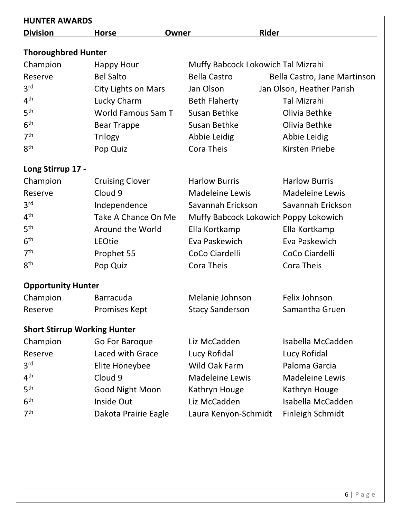| <b>HUNTER AWARDS</b>                |                            |                        |                                       |
|-------------------------------------|----------------------------|------------------------|---------------------------------------|
| <b>Division</b>                     | <b>Horse</b>               | Owner                  | <b>Rider</b>                          |
|                                     |                            |                        |                                       |
| <b>Thoroughbred Hunter</b>          |                            |                        |                                       |
| Champion                            | Happy Hour                 |                        | Muffy Babcock Lokowich Tal Mizrahi    |
| Reserve                             | <b>Bel Salto</b>           | <b>Bella Castro</b>    | Bella Castro, Jane Martinson          |
| 3 <sup>rd</sup>                     | <b>City Lights on Mars</b> | Jan Olson              | Jan Olson, Heather Parish             |
| 4 <sup>th</sup>                     | Lucky Charm                | <b>Beth Flaherty</b>   | <b>Tal Mizrahi</b>                    |
| 5 <sup>th</sup>                     | World Famous Sam T         | Susan Bethke           | Olivia Bethke                         |
| 6 <sup>th</sup>                     | <b>Bear Trappe</b>         | Susan Bethke           | Olivia Bethke                         |
| 7 <sup>th</sup>                     | Trilogy                    | Abbie Leidig           | Abbie Leidig                          |
| 8 <sup>th</sup>                     | Pop Quiz                   | <b>Cora Theis</b>      | Kirsten Priebe                        |
| Long Stirrup 17 -                   |                            |                        |                                       |
| Champion                            | <b>Cruising Clover</b>     | <b>Harlow Burris</b>   | <b>Harlow Burris</b>                  |
| Reserve                             | Cloud 9                    | <b>Madeleine Lewis</b> | <b>Madeleine Lewis</b>                |
| 3 <sup>rd</sup>                     | Independence               | Savannah Erickson      | Savannah Erickson                     |
| 4 <sup>th</sup>                     | Take A Chance On Me        |                        | Muffy Babcock Lokowich Poppy Lokowich |
| 5 <sup>th</sup>                     | Around the World           | Ella Kortkamp          | Ella Kortkamp                         |
| 6 <sup>th</sup>                     | LEOtie                     | Eva Paskewich          | Eva Paskewich                         |
| 7 <sup>th</sup>                     | Prophet 55                 | CoCo Ciardelli         | CoCo Ciardelli                        |
| 8 <sup>th</sup>                     | Pop Quiz                   | <b>Cora Theis</b>      | Cora Theis                            |
| <b>Opportunity Hunter</b>           |                            |                        |                                       |
| Champion                            | <b>Barracuda</b>           | Melanie Johnson        | Felix Johnson                         |
| Reserve                             | Promises Kept              | <b>Stacy Sanderson</b> | Samantha Gruen                        |
| <b>Short Stirrup Working Hunter</b> |                            |                        |                                       |
| Champion                            | Go For Baroque             | Liz McCadden           | Isabella McCadden                     |
| Reserve                             | Laced with Grace           | Lucy Rofidal           | Lucy Rofidal                          |
| 3 <sup>rd</sup>                     | <b>Elite Honeybee</b>      | Wild Oak Farm          | Paloma Garcia                         |
| 4 <sup>th</sup>                     | Cloud 9                    | <b>Madeleine Lewis</b> | <b>Madeleine Lewis</b>                |
| 5 <sup>th</sup>                     | Good Night Moon            | Kathryn Houge          | Kathryn Houge                         |
| 6 <sup>th</sup>                     | Inside Out                 | Liz McCadden           | Isabella McCadden                     |
| 7 <sup>th</sup>                     | Dakota Prairie Eagle       | Laura Kenyon-Schmidt   | Finleigh Schmidt                      |
|                                     |                            |                        |                                       |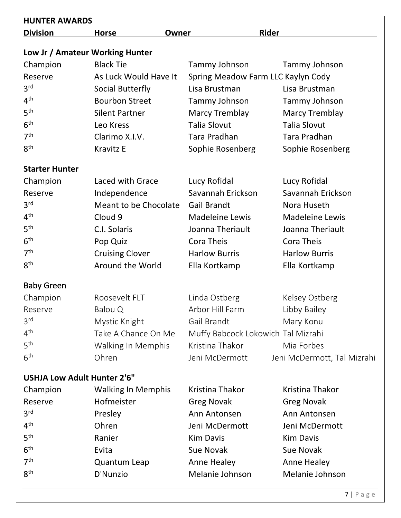| <b>HUNTER AWARDS</b>               |                           |                                    |                             |  |
|------------------------------------|---------------------------|------------------------------------|-----------------------------|--|
| <b>Division</b>                    | <b>Horse</b><br>Owner     | <b>Rider</b>                       |                             |  |
| Low Jr / Amateur Working Hunter    |                           |                                    |                             |  |
| Champion                           | <b>Black Tie</b>          | Tammy Johnson                      | Tammy Johnson               |  |
| Reserve                            | As Luck Would Have It     | Spring Meadow Farm LLC Kaylyn Cody |                             |  |
| 3 <sup>rd</sup>                    | Social Butterfly          | Lisa Brustman                      | Lisa Brustman               |  |
| 4 <sup>th</sup>                    | <b>Bourbon Street</b>     | Tammy Johnson                      | Tammy Johnson               |  |
| 5 <sup>th</sup>                    | <b>Silent Partner</b>     | <b>Marcy Tremblay</b>              | <b>Marcy Tremblay</b>       |  |
| 6 <sup>th</sup>                    | Leo Kress                 | <b>Talia Slovut</b>                | <b>Talia Slovut</b>         |  |
| 7 <sup>th</sup>                    | Clarimo X.I.V.            | Tara Pradhan                       | Tara Pradhan                |  |
| 8 <sup>th</sup>                    | <b>Kravitz E</b>          | Sophie Rosenberg                   | Sophie Rosenberg            |  |
| <b>Starter Hunter</b>              |                           |                                    |                             |  |
| Champion                           | Laced with Grace          | Lucy Rofidal                       | Lucy Rofidal                |  |
| Reserve                            | Independence              | Savannah Erickson                  | Savannah Erickson           |  |
| 3 <sup>rd</sup>                    | Meant to be Chocolate     | <b>Gail Brandt</b>                 | Nora Huseth                 |  |
| 4 <sup>th</sup>                    | Cloud 9                   | <b>Madeleine Lewis</b>             | <b>Madeleine Lewis</b>      |  |
| 5 <sup>th</sup>                    | C.I. Solaris              | Joanna Theriault                   | Joanna Theriault            |  |
| 6 <sup>th</sup>                    | Pop Quiz                  | Cora Theis                         | <b>Cora Theis</b>           |  |
| 7 <sup>th</sup>                    | <b>Cruising Clover</b>    | <b>Harlow Burris</b>               | <b>Harlow Burris</b>        |  |
| 8 <sup>th</sup>                    | Around the World          | Ella Kortkamp                      | Ella Kortkamp               |  |
| <b>Baby Green</b>                  |                           |                                    |                             |  |
| Champion                           | Roosevelt FLT             | Linda Ostberg                      | Kelsey Ostberg              |  |
| Reserve                            | Balou Q                   | Arbor Hill Farm                    | Libby Bailey                |  |
| 3 <sup>rd</sup>                    | Mystic Knight             | Gail Brandt                        | Mary Konu                   |  |
| 4 <sup>th</sup>                    | Take A Chance On Me       | Muffy Babcock Lokowich Tal Mizrahi |                             |  |
| 5 <sup>th</sup>                    | Walking In Memphis        | Kristina Thakor                    | Mia Forbes                  |  |
| 6 <sup>th</sup>                    | Ohren                     | Jeni McDermott                     | Jeni McDermott, Tal Mizrahi |  |
| <b>USHJA Low Adult Hunter 2'6"</b> |                           |                                    |                             |  |
| Champion                           | <b>Walking In Memphis</b> | Kristina Thakor                    | Kristina Thakor             |  |
| Reserve                            | Hofmeister                | <b>Greg Novak</b>                  | <b>Greg Novak</b>           |  |
| 3 <sup>rd</sup>                    | Presley                   | Ann Antonsen                       | Ann Antonsen                |  |
| 4 <sup>th</sup>                    | Ohren                     | Jeni McDermott                     | Jeni McDermott              |  |
| 5 <sup>th</sup>                    | Ranier                    | <b>Kim Davis</b>                   | <b>Kim Davis</b>            |  |
| 6 <sup>th</sup>                    | Evita                     | Sue Novak                          | Sue Novak                   |  |
| 7 <sup>th</sup>                    | <b>Quantum Leap</b>       | Anne Healey                        | Anne Healey                 |  |
| 8 <sup>th</sup>                    | D'Nunzio                  | Melanie Johnson                    | Melanie Johnson             |  |
|                                    |                           |                                    |                             |  |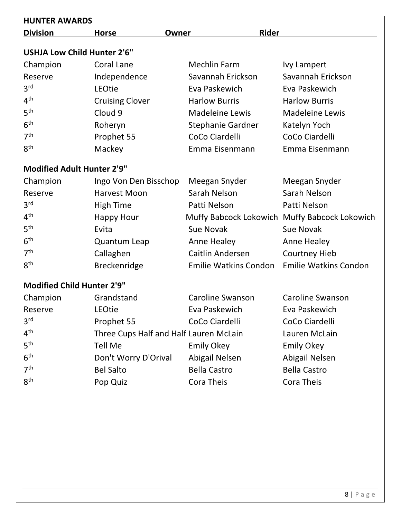| <b>HUNTER AWARDS</b>               |                                        |       |                              |                                               |
|------------------------------------|----------------------------------------|-------|------------------------------|-----------------------------------------------|
| <b>Division</b>                    | <b>Horse</b>                           | Owner | <b>Rider</b>                 |                                               |
| <b>USHJA Low Child Hunter 2'6"</b> |                                        |       |                              |                                               |
| Champion                           | <b>Coral Lane</b>                      |       | <b>Mechlin Farm</b>          | <b>Ivy Lampert</b>                            |
| Reserve                            | Independence                           |       | Savannah Erickson            | Savannah Erickson                             |
| 3 <sup>rd</sup>                    | LEOtie                                 |       | Eva Paskewich                | Eva Paskewich                                 |
| 4 <sup>th</sup>                    | <b>Cruising Clover</b>                 |       | <b>Harlow Burris</b>         | <b>Harlow Burris</b>                          |
| 5 <sup>th</sup>                    | Cloud 9                                |       | <b>Madeleine Lewis</b>       | <b>Madeleine Lewis</b>                        |
| 6 <sup>th</sup>                    | Roheryn                                |       | <b>Stephanie Gardner</b>     | Katelyn Yoch                                  |
| 7 <sup>th</sup>                    | Prophet 55                             |       | CoCo Ciardelli               | CoCo Ciardelli                                |
| 8 <sup>th</sup>                    | Mackey                                 |       | Emma Eisenmann               | Emma Eisenmann                                |
| <b>Modified Adult Hunter 2'9"</b>  |                                        |       |                              |                                               |
| Champion                           | Ingo Von Den Bisschop                  |       | Meegan Snyder                | Meegan Snyder                                 |
| Reserve                            | Harvest Moon                           |       | Sarah Nelson                 | Sarah Nelson                                  |
| 3 <sup>rd</sup>                    | <b>High Time</b>                       |       | Patti Nelson                 | Patti Nelson                                  |
| 4 <sup>th</sup>                    | <b>Happy Hour</b>                      |       |                              | Muffy Babcock Lokowich Muffy Babcock Lokowich |
| 5 <sup>th</sup>                    | Evita                                  |       | Sue Novak                    | Sue Novak                                     |
| 6 <sup>th</sup>                    | <b>Quantum Leap</b>                    |       | Anne Healey                  | <b>Anne Healey</b>                            |
| 7 <sup>th</sup>                    | Callaghen                              |       | Caitlin Andersen             | <b>Courtney Hieb</b>                          |
| 8 <sup>th</sup>                    | <b>Breckenridge</b>                    |       | <b>Emilie Watkins Condon</b> | <b>Emilie Watkins Condon</b>                  |
| <b>Modified Child Hunter 2'9"</b>  |                                        |       |                              |                                               |
| Champion                           | Grandstand                             |       | Caroline Swanson             | <b>Caroline Swanson</b>                       |
| Reserve                            | LEOtie                                 |       | Eva Paskewich                | Eva Paskewich                                 |
| 3 <sup>rd</sup>                    | Prophet 55                             |       | CoCo Ciardelli               | CoCo Ciardelli                                |
| 4 <sup>th</sup>                    | Three Cups Half and Half Lauren McLain |       |                              | Lauren McLain                                 |
| 5 <sup>th</sup>                    | Tell Me                                |       | <b>Emily Okey</b>            | <b>Emily Okey</b>                             |
| 6 <sup>th</sup>                    | Don't Worry D'Orival                   |       | Abigail Nelsen               | Abigail Nelsen                                |
| 7 <sup>th</sup>                    | <b>Bel Salto</b>                       |       | <b>Bella Castro</b>          | <b>Bella Castro</b>                           |
| 8 <sup>th</sup>                    | Pop Quiz                               |       | Cora Theis                   | Cora Theis                                    |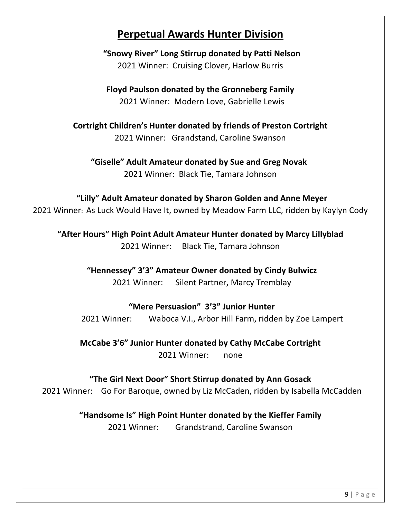## **Perpetual Awards Hunter Division**

**"Snowy River" Long Stirrup donated by Patti Nelson** 2021 Winner: Cruising Clover, Harlow Burris

**Floyd Paulson donated by the Gronneberg Family** 2021 Winner: Modern Love, Gabrielle Lewis

**Cortright Children's Hunter donated by friends of Preston Cortright** 2021 Winner: Grandstand, Caroline Swanson

**"Giselle" Adult Amateur donated by Sue and Greg Novak** 2021 Winner: Black Tie, Tamara Johnson

## **"Lilly" Adult Amateur donated by Sharon Golden and Anne Meyer**

2021 Winner: As Luck Would Have It, owned by Meadow Farm LLC, ridden by Kaylyn Cody

**"After Hours" High Point Adult Amateur Hunter donated by Marcy Lillyblad** 2021 Winner: Black Tie, Tamara Johnson

> **"Hennessey" 3'3" Amateur Owner donated by Cindy Bulwicz** 2021 Winner: Silent Partner, Marcy Tremblay

### **"Mere Persuasion" 3'3" Junior Hunter**

2021 Winner: Waboca V.I., Arbor Hill Farm, ridden by Zoe Lampert

**McCabe 3'6" Junior Hunter donated by Cathy McCabe Cortright** 2021 Winner: none

#### **"The Girl Next Door" Short Stirrup donated by Ann Gosack**

2021 Winner: Go For Baroque, owned by Liz McCaden, ridden by Isabella McCadden

### **"Handsome Is" High Point Hunter donated by the Kieffer Family**

2021 Winner: Grandstrand, Caroline Swanson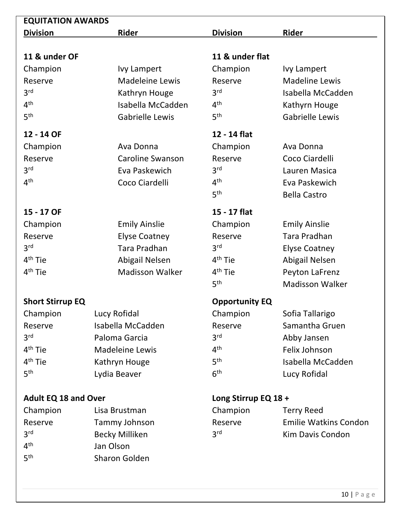| <b>EQUITATION AWARDS</b>    |                         |                            |                              |
|-----------------------------|-------------------------|----------------------------|------------------------------|
| <b>Division</b>             | <b>Rider</b>            | <b>Division</b>            | <b>Rider</b>                 |
|                             |                         |                            |                              |
| 11 & under OF               |                         | 11 & under flat            |                              |
| Champion                    | <b>Ivy Lampert</b>      | Champion                   | <b>Ivy Lampert</b>           |
| Reserve                     | <b>Madeleine Lewis</b>  | Reserve                    | <b>Madeline Lewis</b>        |
| 3 <sup>rd</sup>             | Kathryn Houge           | 3 <sup>rd</sup>            | Isabella McCadden            |
| 4 <sup>th</sup>             | Isabella McCadden       | 4 <sup>th</sup>            | Kathyrn Houge                |
| 5 <sup>th</sup>             | <b>Gabrielle Lewis</b>  | 5 <sup>th</sup>            | <b>Gabrielle Lewis</b>       |
| 12 - 14 OF                  |                         | 12 - 14 flat               |                              |
| Champion                    | Ava Donna               | Champion                   | Ava Donna                    |
| Reserve                     | <b>Caroline Swanson</b> | Reserve                    | Coco Ciardelli               |
| 3 <sup>rd</sup>             | Eva Paskewich           | 3 <sup>rd</sup>            | Lauren Masica                |
| 4 <sup>th</sup>             | Coco Ciardelli          | 4 <sup>th</sup>            | Eva Paskewich                |
|                             |                         | 5 <sup>th</sup>            | <b>Bella Castro</b>          |
| 15 - 17 OF                  |                         | 15 - 17 flat               |                              |
| Champion                    | <b>Emily Ainslie</b>    | Champion                   | <b>Emily Ainslie</b>         |
| Reserve                     | <b>Elyse Coatney</b>    | Reserve                    | Tara Pradhan                 |
| 3 <sup>rd</sup>             | <b>Tara Pradhan</b>     | 3 <sup>rd</sup>            | <b>Elyse Coatney</b>         |
| $4th$ Tie                   | Abigail Nelsen          | $4th$ Tie                  | Abigail Nelsen               |
| 4 <sup>th</sup> Tie         | <b>Madisson Walker</b>  | $4th$ Tie                  | Peyton LaFrenz               |
|                             |                         | 5 <sup>th</sup>            | <b>Madisson Walker</b>       |
| <b>Short Stirrup EQ</b>     |                         | <b>Opportunity EQ</b>      |                              |
| Champion                    | Lucy Rofidal            | Champion                   | Sofia Tallarigo              |
| Reserve                     | Isabella McCadden       | Reserve                    | Samantha Gruen               |
| 3 <sup>rd</sup>             | Paloma Garcia           | 3 <sup>rd</sup>            | Abby Jansen                  |
| 4 <sup>th</sup> Tie         | <b>Madeleine Lewis</b>  | 4 <sup>th</sup>            | Felix Johnson                |
| 4 <sup>th</sup> Tie         | Kathryn Houge           | 5 <sup>th</sup>            | Isabella McCadden            |
| 5 <sup>th</sup>             | Lydia Beaver            | 6 <sup>th</sup>            | Lucy Rofidal                 |
|                             |                         |                            |                              |
| <b>Adult EQ 18 and Over</b> | Lisa Brustman           | Long Stirrup EQ 18 +       |                              |
| Champion                    |                         | Champion                   | <b>Terry Reed</b>            |
| Reserve<br>3 <sup>rd</sup>  | Tammy Johnson           | Reserve<br>3 <sup>rd</sup> | <b>Emilie Watkins Condon</b> |
| 4 <sup>th</sup>             | <b>Becky Milliken</b>   |                            | Kim Davis Condon             |
|                             | Jan Olson               |                            |                              |

5<sup>th</sup> Sharon Golden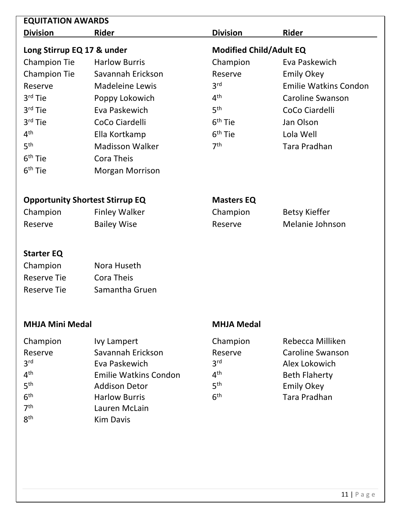| <b>EQUITATION AWARDS</b>   |                                        |                                |                              |
|----------------------------|----------------------------------------|--------------------------------|------------------------------|
| <b>Division</b>            | <b>Rider</b>                           | <b>Division</b>                | Rider                        |
| Long Stirrup EQ 17 & under |                                        | <b>Modified Child/Adult EQ</b> |                              |
| <b>Champion Tie</b>        | <b>Harlow Burris</b>                   | Champion                       | Eva Paskewich                |
| <b>Champion Tie</b>        | Savannah Erickson                      | Reserve                        | <b>Emily Okey</b>            |
| Reserve                    | <b>Madeleine Lewis</b>                 | 3 <sup>rd</sup>                | <b>Emilie Watkins Condon</b> |
| 3 <sup>rd</sup> Tie        | Poppy Lokowich                         | 4 <sup>th</sup>                | <b>Caroline Swanson</b>      |
| $3rd$ Tie                  | Eva Paskewich                          | 5 <sup>th</sup>                | CoCo Ciardelli               |
| $3rd$ Tie                  | CoCo Ciardelli                         | $6th$ Tie                      | Jan Olson                    |
| 4 <sup>th</sup>            | Ella Kortkamp                          | $6th$ Tie                      | Lola Well                    |
| 5 <sup>th</sup>            | <b>Madisson Walker</b>                 | 7 <sup>th</sup>                | <b>Tara Pradhan</b>          |
| $6th$ Tie                  | Cora Theis                             |                                |                              |
| 6 <sup>th</sup> Tie        | <b>Morgan Morrison</b>                 |                                |                              |
|                            | <b>Opportunity Shortest Stirrup EQ</b> | <b>Masters EQ</b>              |                              |
| Champion                   | <b>Finley Walker</b>                   | Champion                       | <b>Betsy Kieffer</b>         |
| Reserve                    | <b>Bailey Wise</b>                     | Reserve                        | Melanie Johnson              |
| <b>Starter EQ</b>          |                                        |                                |                              |
| Champion                   | Nora Huseth                            |                                |                              |
| <b>Reserve Tie</b>         | Cora Theis                             |                                |                              |

|             | CU III DI      |
|-------------|----------------|
| Reserve Tie | Samantha Gruen |

#### **MHJA Mini Medal MHJA Medal**

## Champion Ivy Lampert Champion Rebecca Milliken Reserve Savannah Erickson Reserve Caroline Swanson 3rd Eva Paskewich 3rd Alex Lokowich 4<sup>th</sup> Emilie Watkins Condon a<sup>th</sup> Beth Flaherty<br>5<sup>th</sup> Addison Detor 5<sup>th</sup> Emily Okev 5<sup>th</sup> Addison Detor 5<sup>th</sup> Emily Okey<br>6<sup>th</sup> Harlow Burris 6<sup>th</sup> 5<sup>th</sup> Tara Pradha  $6<sup>th</sup>$  Harlow Burris  $6<sup>th</sup>$  Tara Pradhan<br> $7<sup>th</sup>$  Lauren McLain 7<sup>th</sup> Lauren McLain<br>8<sup>th</sup> Kim Davis **Kim Davis**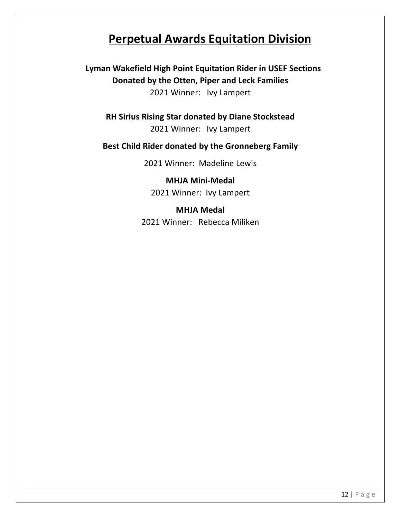# **Perpetual Awards Equitation Division**

**Lyman Wakefield High Point Equitation Rider in USEF Sections Donated by the Otten, Piper and Leck Families** 2021 Winner: Ivy Lampert

**RH Sirius Rising Star donated by Diane Stockstead** 2021 Winner: Ivy Lampert

### **Best Child Rider donated by the Gronneberg Family**

2021 Winner: Madeline Lewis

**MHJA Mini-Medal** 2021 Winner: Ivy Lampert

#### **MHJA Medal**

2021 Winner: Rebecca Miliken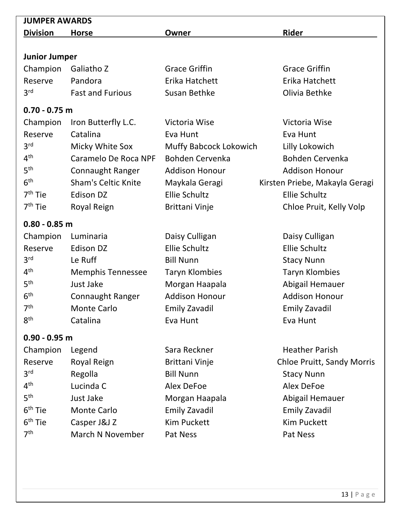| <b>JUMPER AWARDS</b> |                            |                               |                                   |  |
|----------------------|----------------------------|-------------------------------|-----------------------------------|--|
| <b>Division</b>      | <b>Horse</b>               | Owner                         | Rider                             |  |
|                      |                            |                               |                                   |  |
| <b>Junior Jumper</b> |                            |                               |                                   |  |
| Champion             | Galiatho Z                 | <b>Grace Griffin</b>          | <b>Grace Griffin</b>              |  |
| Reserve              | Pandora                    | Erika Hatchett                | Erika Hatchett                    |  |
| 3 <sup>rd</sup>      | <b>Fast and Furious</b>    | <b>Susan Bethke</b>           | Olivia Bethke                     |  |
| $0.70 - 0.75$ m      |                            |                               |                                   |  |
| Champion             | Iron Butterfly L.C.        | Victoria Wise                 | Victoria Wise                     |  |
| Reserve              | Catalina                   | Eva Hunt                      | Eva Hunt                          |  |
| 3 <sup>rd</sup>      | Micky White Sox            | <b>Muffy Babcock Lokowich</b> | Lilly Lokowich                    |  |
| 4 <sup>th</sup>      | Caramelo De Roca NPF       | <b>Bohden Cervenka</b>        | <b>Bohden Cervenka</b>            |  |
| 5 <sup>th</sup>      | <b>Connaught Ranger</b>    | <b>Addison Honour</b>         | <b>Addison Honour</b>             |  |
| 6 <sup>th</sup>      | <b>Sham's Celtic Knite</b> | Maykala Geragi                | Kirsten Priebe, Makayla Geragi    |  |
| 7 <sup>th</sup> Tie  | <b>Edison DZ</b>           | <b>Ellie Schultz</b>          | <b>Ellie Schultz</b>              |  |
| 7 <sup>th</sup> Tie  | Royal Reign                | Brittani Vinje                | Chloe Pruit, Kelly Volp           |  |
| $0.80 - 0.85$ m      |                            |                               |                                   |  |
| Champion             | Luminaria                  | Daisy Culligan                | Daisy Culligan                    |  |
| Reserve              | <b>Edison DZ</b>           | <b>Ellie Schultz</b>          | <b>Ellie Schultz</b>              |  |
| 3 <sup>rd</sup>      | Le Ruff                    | <b>Bill Nunn</b>              | <b>Stacy Nunn</b>                 |  |
| 4 <sup>th</sup>      | <b>Memphis Tennessee</b>   | <b>Taryn Klombies</b>         | <b>Taryn Klombies</b>             |  |
| 5 <sup>th</sup>      | Just Jake                  | Morgan Haapala                | Abigail Hemauer                   |  |
| 6 <sup>th</sup>      | Connaught Ranger           | <b>Addison Honour</b>         | <b>Addison Honour</b>             |  |
| 7 <sup>th</sup>      | Monte Carlo                | <b>Emily Zavadil</b>          | <b>Emily Zavadil</b>              |  |
| 8 <sup>th</sup>      | Catalina                   | Eva Hunt                      | Eva Hunt                          |  |
| $0.90 - 0.95$ m      |                            |                               |                                   |  |
| Champion             | Legend                     | Sara Reckner                  | <b>Heather Parish</b>             |  |
| Reserve              | Royal Reign                | Brittani Vinje                | <b>Chloe Pruitt, Sandy Morris</b> |  |
| 3 <sup>rd</sup>      | Regolla                    | <b>Bill Nunn</b>              | <b>Stacy Nunn</b>                 |  |
| 4 <sup>th</sup>      | Lucinda C                  | Alex DeFoe                    | Alex DeFoe                        |  |
| 5 <sup>th</sup>      | Just Jake                  | Morgan Haapala                | Abigail Hemauer                   |  |
| $6th$ Tie            | <b>Monte Carlo</b>         | <b>Emily Zavadil</b>          | <b>Emily Zavadil</b>              |  |
| 6 <sup>th</sup> Tie  | Casper J&J Z               | <b>Kim Puckett</b>            | <b>Kim Puckett</b>                |  |
| 7 <sup>th</sup>      | <b>March N November</b>    | Pat Ness                      | Pat Ness                          |  |
|                      |                            |                               |                                   |  |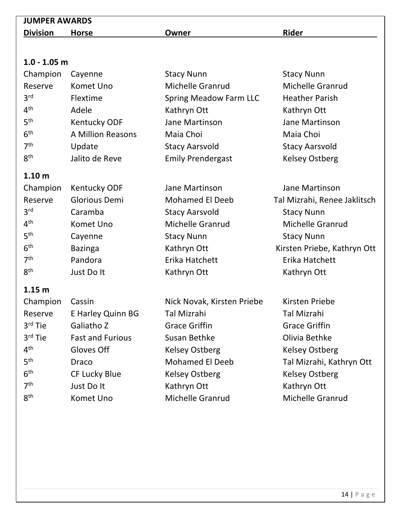| <b>JUMPER AWARDS</b> |                         |                               |                              |
|----------------------|-------------------------|-------------------------------|------------------------------|
| <b>Division</b>      | <b>Horse</b>            | Owner                         | <b>Rider</b>                 |
|                      |                         |                               |                              |
|                      |                         |                               |                              |
| $1.0 - 1.05$ m       |                         |                               |                              |
| Champion             | Cayenne                 | <b>Stacy Nunn</b>             | <b>Stacy Nunn</b>            |
| Reserve              | Komet Uno               | <b>Michelle Granrud</b>       | <b>Michelle Granrud</b>      |
| 3 <sup>rd</sup>      | Flextime                | <b>Spring Meadow Farm LLC</b> | <b>Heather Parish</b>        |
| 4 <sup>th</sup>      | Adele                   | Kathryn Ott                   | Kathryn Ott                  |
| 5 <sup>th</sup>      | <b>Kentucky ODF</b>     | Jane Martinson                | Jane Martinson               |
| 6 <sup>th</sup>      | A Million Reasons       | Maia Choi                     | Maia Choi                    |
| 7 <sup>th</sup>      | Update                  | <b>Stacy Aarsvold</b>         | <b>Stacy Aarsvold</b>        |
| 8 <sup>th</sup>      | Jalito de Reve          | <b>Emily Prendergast</b>      | <b>Kelsey Ostberg</b>        |
| 1.10 <sub>m</sub>    |                         |                               |                              |
| Champion             | <b>Kentucky ODF</b>     | Jane Martinson                | Jane Martinson               |
| Reserve              | <b>Glorious Demi</b>    | <b>Mohamed El Deeb</b>        | Tal Mizrahi, Renee Jaklitsch |
| 3 <sup>rd</sup>      | Caramba                 | <b>Stacy Aarsvold</b>         | <b>Stacy Nunn</b>            |
| 4 <sup>th</sup>      | Komet Uno               | <b>Michelle Granrud</b>       | <b>Michelle Granrud</b>      |
| 5 <sup>th</sup>      | Cayenne                 | <b>Stacy Nunn</b>             | <b>Stacy Nunn</b>            |
| 6 <sup>th</sup>      | <b>Bazinga</b>          | Kathryn Ott                   | Kirsten Priebe, Kathryn Ott  |
| 7 <sup>th</sup>      | Pandora                 | Erika Hatchett                | Erika Hatchett               |
| 8 <sup>th</sup>      | Just Do It              | Kathryn Ott                   | Kathryn Ott                  |
| 1.15 <sub>m</sub>    |                         |                               |                              |
| Champion             | Cassin                  | Nick Novak, Kirsten Priebe    | Kirsten Priebe               |
| Reserve              | E Harley Quinn BG       | <b>Tal Mizrahi</b>            | <b>Tal Mizrahi</b>           |
| $3rd$ Tie            | Galiatho Z              | <b>Grace Griffin</b>          | <b>Grace Griffin</b>         |
| 3rd Tie              | <b>Fast and Furious</b> | Susan Bethke                  | Olivia Bethke                |
| 4 <sup>th</sup>      | Gloves Off              | <b>Kelsey Ostberg</b>         | <b>Kelsey Ostberg</b>        |
| 5 <sup>th</sup>      | Draco                   | <b>Mohamed El Deeb</b>        | Tal Mizrahi, Kathryn Ott     |
| 6 <sup>th</sup>      | <b>CF Lucky Blue</b>    | <b>Kelsey Ostberg</b>         | <b>Kelsey Ostberg</b>        |
| 7 <sup>th</sup>      | Just Do It              | Kathryn Ott                   | Kathryn Ott                  |
| 8 <sup>th</sup>      | Komet Uno               | <b>Michelle Granrud</b>       | Michelle Granrud             |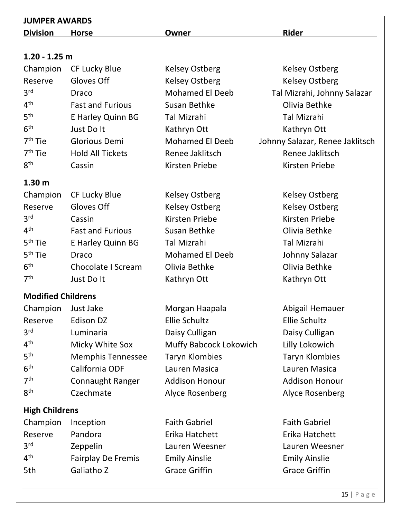| <b>JUMPER AWARDS</b>      |                           |                        |                                 |  |  |  |  |
|---------------------------|---------------------------|------------------------|---------------------------------|--|--|--|--|
| <b>Division</b>           | <b>Horse</b>              | Owner                  | <b>Rider</b>                    |  |  |  |  |
|                           |                           |                        |                                 |  |  |  |  |
| $1.20 - 1.25$ m           |                           |                        |                                 |  |  |  |  |
| Champion                  | CF Lucky Blue             | <b>Kelsey Ostberg</b>  | <b>Kelsey Ostberg</b>           |  |  |  |  |
| Reserve                   | Gloves Off                | <b>Kelsey Ostberg</b>  | <b>Kelsey Ostberg</b>           |  |  |  |  |
| 3 <sup>rd</sup>           | Draco                     | <b>Mohamed El Deeb</b> | Tal Mizrahi, Johnny Salazar     |  |  |  |  |
| 4 <sup>th</sup>           | <b>Fast and Furious</b>   | Susan Bethke           | Olivia Bethke                   |  |  |  |  |
| 5 <sup>th</sup>           | E Harley Quinn BG         | <b>Tal Mizrahi</b>     | <b>Tal Mizrahi</b>              |  |  |  |  |
| 6 <sup>th</sup>           | Just Do It                | Kathryn Ott            | Kathryn Ott                     |  |  |  |  |
| $7th$ Tie                 | Glorious Demi             | <b>Mohamed El Deeb</b> | Johnny Salazar, Renee Jaklitsch |  |  |  |  |
| $7th$ Tie                 | <b>Hold All Tickets</b>   | Renee Jaklitsch        | Renee Jaklitsch                 |  |  |  |  |
| 8 <sup>th</sup>           | Cassin                    | Kirsten Priebe         | Kirsten Priebe                  |  |  |  |  |
| 1.30 <sub>m</sub>         |                           |                        |                                 |  |  |  |  |
| Champion                  | <b>CF Lucky Blue</b>      | <b>Kelsey Ostberg</b>  | <b>Kelsey Ostberg</b>           |  |  |  |  |
| Reserve                   | Gloves Off                | <b>Kelsey Ostberg</b>  | <b>Kelsey Ostberg</b>           |  |  |  |  |
| 3 <sup>rd</sup>           | Cassin                    | Kirsten Priebe         | Kirsten Priebe                  |  |  |  |  |
| 4 <sup>th</sup>           | <b>Fast and Furious</b>   | Susan Bethke           | Olivia Bethke                   |  |  |  |  |
| 5 <sup>th</sup> Tie       | E Harley Quinn BG         | <b>Tal Mizrahi</b>     | <b>Tal Mizrahi</b>              |  |  |  |  |
| $5th$ Tie                 | Draco                     | <b>Mohamed El Deeb</b> | Johnny Salazar                  |  |  |  |  |
| 6 <sup>th</sup>           | Chocolate I Scream        | Olivia Bethke          | Olivia Bethke                   |  |  |  |  |
| 7 <sup>th</sup>           | Just Do It                | Kathryn Ott            | Kathryn Ott                     |  |  |  |  |
| <b>Modified Childrens</b> |                           |                        |                                 |  |  |  |  |
| Champion                  | Just Jake                 | Morgan Haapala         | Abigail Hemauer                 |  |  |  |  |
| Reserve                   | Edison DZ                 | <b>Ellie Schultz</b>   | <b>Ellie Schultz</b>            |  |  |  |  |
| 3 <sup>rd</sup>           | Luminaria                 | Daisy Culligan         | Daisy Culligan                  |  |  |  |  |
| 4 <sup>th</sup>           | Micky White Sox           | Muffy Babcock Lokowich | Lilly Lokowich                  |  |  |  |  |
| 5 <sup>th</sup>           | <b>Memphis Tennessee</b>  | <b>Taryn Klombies</b>  | <b>Taryn Klombies</b>           |  |  |  |  |
| 6 <sup>th</sup>           | California ODF            | Lauren Masica          | Lauren Masica                   |  |  |  |  |
| 7 <sup>th</sup>           | <b>Connaught Ranger</b>   | <b>Addison Honour</b>  | <b>Addison Honour</b>           |  |  |  |  |
| 8 <sup>th</sup>           | Czechmate                 | Alyce Rosenberg        | Alyce Rosenberg                 |  |  |  |  |
| <b>High Childrens</b>     |                           |                        |                                 |  |  |  |  |
| Champion                  | Inception                 | <b>Faith Gabriel</b>   | <b>Faith Gabriel</b>            |  |  |  |  |
| Reserve                   | Pandora                   | Erika Hatchett         | Erika Hatchett                  |  |  |  |  |
| 3 <sup>rd</sup>           | Zeppelin                  | Lauren Weesner         | Lauren Weesner                  |  |  |  |  |
| 4 <sup>th</sup>           | <b>Fairplay De Fremis</b> | <b>Emily Ainslie</b>   | <b>Emily Ainslie</b>            |  |  |  |  |
| 5th                       | Galiatho Z                | <b>Grace Griffin</b>   | <b>Grace Griffin</b>            |  |  |  |  |
|                           |                           |                        |                                 |  |  |  |  |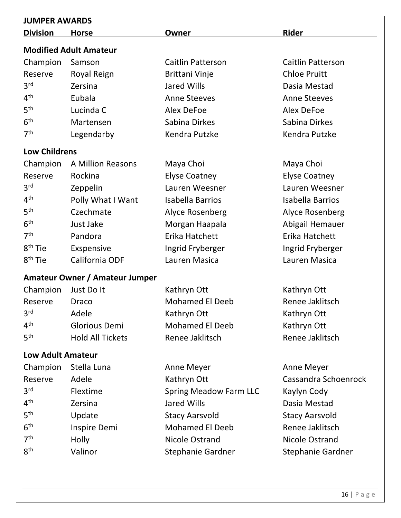| <b>JUMPER AWARDS</b>     |                                |                               |                          |  |  |  |  |
|--------------------------|--------------------------------|-------------------------------|--------------------------|--|--|--|--|
| <b>Division</b>          | <b>Horse</b>                   | Owner                         | Rider                    |  |  |  |  |
|                          | <b>Modified Adult Amateur</b>  |                               |                          |  |  |  |  |
| Champion                 | Samson                         | <b>Caitlin Patterson</b>      | <b>Caitlin Patterson</b> |  |  |  |  |
| Reserve                  | Royal Reign                    | <b>Brittani Vinje</b>         | <b>Chloe Pruitt</b>      |  |  |  |  |
| 3 <sup>rd</sup>          | Zersina                        | <b>Jared Wills</b>            | Dasia Mestad             |  |  |  |  |
| 4 <sup>th</sup>          | Eubala                         | <b>Anne Steeves</b>           | <b>Anne Steeves</b>      |  |  |  |  |
| 5 <sup>th</sup>          | Lucinda C                      | Alex DeFoe                    | Alex DeFoe               |  |  |  |  |
| 6 <sup>th</sup>          | Martensen                      | Sabina Dirkes                 | Sabina Dirkes            |  |  |  |  |
| 7 <sup>th</sup>          | Legendarby                     | Kendra Putzke                 | Kendra Putzke            |  |  |  |  |
| <b>Low Childrens</b>     |                                |                               |                          |  |  |  |  |
| Champion                 | <b>A Million Reasons</b>       | Maya Choi                     | Maya Choi                |  |  |  |  |
| Reserve                  | Rockina                        | <b>Elyse Coatney</b>          | <b>Elyse Coatney</b>     |  |  |  |  |
| 3 <sup>rd</sup>          | Zeppelin                       | Lauren Weesner                | Lauren Weesner           |  |  |  |  |
| 4 <sup>th</sup>          | Polly What I Want              | <b>Isabella Barrios</b>       | <b>Isabella Barrios</b>  |  |  |  |  |
| 5 <sup>th</sup>          | Czechmate                      | Alyce Rosenberg               | Alyce Rosenberg          |  |  |  |  |
| 6 <sup>th</sup>          | Just Jake                      | Morgan Haapala                | Abigail Hemauer          |  |  |  |  |
| 7 <sup>th</sup>          | Pandora                        | Erika Hatchett                | Erika Hatchett           |  |  |  |  |
| 8 <sup>th</sup> Tie      | Exspensive                     | Ingrid Fryberger              | Ingrid Fryberger         |  |  |  |  |
| 8 <sup>th</sup> Tie      | California ODF                 | Lauren Masica                 | Lauren Masica            |  |  |  |  |
|                          | Amateur Owner / Amateur Jumper |                               |                          |  |  |  |  |
| Champion                 | Just Do It                     | Kathryn Ott                   | Kathryn Ott              |  |  |  |  |
| Reserve                  | Draco                          | <b>Mohamed El Deeb</b>        | Renee Jaklitsch          |  |  |  |  |
| 3 <sup>rd</sup>          | Adele                          | Kathryn Ott                   | Kathryn Ott              |  |  |  |  |
| 4 <sup>th</sup>          | Glorious Demi                  | <b>Mohamed El Deeb</b>        | Kathryn Ott              |  |  |  |  |
| 5 <sup>th</sup>          | <b>Hold All Tickets</b>        | Renee Jaklitsch               | Renee Jaklitsch          |  |  |  |  |
| <b>Low Adult Amateur</b> |                                |                               |                          |  |  |  |  |
| Champion                 | Stella Luna                    | <b>Anne Meyer</b>             | <b>Anne Meyer</b>        |  |  |  |  |
| Reserve                  | Adele                          | Kathryn Ott                   | Cassandra Schoenrock     |  |  |  |  |
| 3 <sup>rd</sup>          | Flextime                       | <b>Spring Meadow Farm LLC</b> | Kaylyn Cody              |  |  |  |  |
| 4 <sup>th</sup>          | Zersina                        | <b>Jared Wills</b>            | Dasia Mestad             |  |  |  |  |
| 5 <sup>th</sup>          | Update                         | <b>Stacy Aarsvold</b>         | <b>Stacy Aarsvold</b>    |  |  |  |  |
| 6 <sup>th</sup>          | Inspire Demi                   | <b>Mohamed El Deeb</b>        | Renee Jaklitsch          |  |  |  |  |
| 7 <sup>th</sup>          | <b>Holly</b>                   | Nicole Ostrand                | Nicole Ostrand           |  |  |  |  |

8<sup>th</sup> Valinor Stephanie Gardner Stephanie Gardner